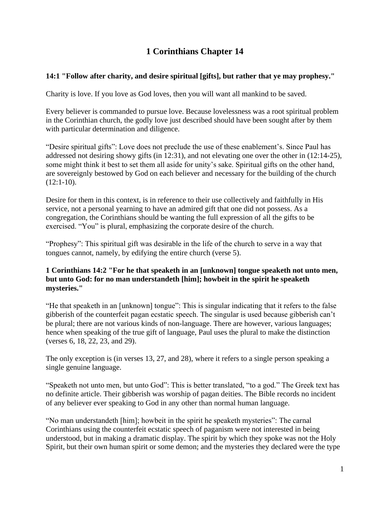# **1 Corinthians Chapter 14**

## **14:1 "Follow after charity, and desire spiritual [gifts], but rather that ye may prophesy."**

Charity is love. If you love as God loves, then you will want all mankind to be saved.

Every believer is commanded to pursue love. Because lovelessness was a root spiritual problem in the Corinthian church, the godly love just described should have been sought after by them with particular determination and diligence.

"Desire spiritual gifts": Love does not preclude the use of these enablement's. Since Paul has addressed not desiring showy gifts (in 12:31), and not elevating one over the other in (12:14-25), some might think it best to set them all aside for unity's sake. Spiritual gifts on the other hand, are sovereignly bestowed by God on each believer and necessary for the building of the church  $(12:1-10)$ .

Desire for them in this context, is in reference to their use collectively and faithfully in His service, not a personal yearning to have an admired gift that one did not possess. As a congregation, the Corinthians should be wanting the full expression of all the gifts to be exercised. "You" is plural, emphasizing the corporate desire of the church.

"Prophesy": This spiritual gift was desirable in the life of the church to serve in a way that tongues cannot, namely, by edifying the entire church (verse 5).

#### **1 Corinthians 14:2 "For he that speaketh in an [unknown] tongue speaketh not unto men, but unto God: for no man understandeth [him]; howbeit in the spirit he speaketh mysteries."**

"He that speaketh in an [unknown] tongue": This is singular indicating that it refers to the false gibberish of the counterfeit pagan ecstatic speech. The singular is used because gibberish can't be plural; there are not various kinds of non-language. There are however, various languages; hence when speaking of the true gift of language, Paul uses the plural to make the distinction (verses 6, 18, 22, 23, and 29).

The only exception is (in verses 13, 27, and 28), where it refers to a single person speaking a single genuine language.

"Speaketh not unto men, but unto God": This is better translated, "to a god." The Greek text has no definite article. Their gibberish was worship of pagan deities. The Bible records no incident of any believer ever speaking to God in any other than normal human language.

"No man understandeth [him]; howbeit in the spirit he speaketh mysteries": The carnal Corinthians using the counterfeit ecstatic speech of paganism were not interested in being understood, but in making a dramatic display. The spirit by which they spoke was not the Holy Spirit, but their own human spirit or some demon; and the mysteries they declared were the type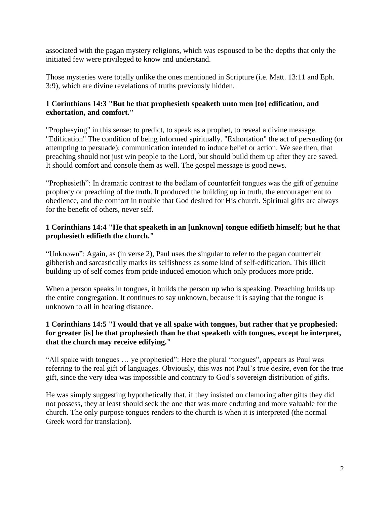associated with the pagan mystery religions, which was espoused to be the depths that only the initiated few were privileged to know and understand.

Those mysteries were totally unlike the ones mentioned in Scripture (i.e. Matt. 13:11 and Eph. 3:9), which are divine revelations of truths previously hidden.

#### **1 Corinthians 14:3 "But he that prophesieth speaketh unto men [to] edification, and exhortation, and comfort."**

"Prophesying" in this sense: to predict, to speak as a prophet, to reveal a divine message. "Edification" The condition of being informed spiritually. "Exhortation" the act of persuading (or attempting to persuade); communication intended to induce belief or action. We see then, that preaching should not just win people to the Lord, but should build them up after they are saved. It should comfort and console them as well. The gospel message is good news.

"Prophesieth": In dramatic contrast to the bedlam of counterfeit tongues was the gift of genuine prophecy or preaching of the truth. It produced the building up in truth, the encouragement to obedience, and the comfort in trouble that God desired for His church. Spiritual gifts are always for the benefit of others, never self.

## **1 Corinthians 14:4 "He that speaketh in an [unknown] tongue edifieth himself; but he that prophesieth edifieth the church."**

"Unknown": Again, as (in verse 2), Paul uses the singular to refer to the pagan counterfeit gibberish and sarcastically marks its selfishness as some kind of self-edification. This illicit building up of self comes from pride induced emotion which only produces more pride.

When a person speaks in tongues, it builds the person up who is speaking. Preaching builds up the entire congregation. It continues to say unknown, because it is saying that the tongue is unknown to all in hearing distance.

## **1 Corinthians 14:5 "I would that ye all spake with tongues, but rather that ye prophesied: for greater [is] he that prophesieth than he that speaketh with tongues, except he interpret, that the church may receive edifying."**

"All spake with tongues … ye prophesied": Here the plural "tongues", appears as Paul was referring to the real gift of languages. Obviously, this was not Paul's true desire, even for the true gift, since the very idea was impossible and contrary to God's sovereign distribution of gifts.

He was simply suggesting hypothetically that, if they insisted on clamoring after gifts they did not possess, they at least should seek the one that was more enduring and more valuable for the church. The only purpose tongues renders to the church is when it is interpreted (the normal Greek word for translation).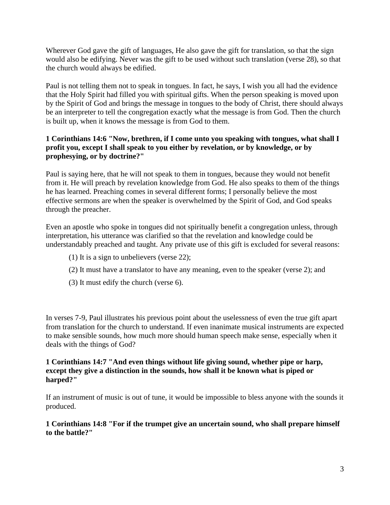Wherever God gave the gift of languages, He also gave the gift for translation, so that the sign would also be edifying. Never was the gift to be used without such translation (verse 28), so that the church would always be edified.

Paul is not telling them not to speak in tongues. In fact, he says, I wish you all had the evidence that the Holy Spirit had filled you with spiritual gifts. When the person speaking is moved upon by the Spirit of God and brings the message in tongues to the body of Christ, there should always be an interpreter to tell the congregation exactly what the message is from God. Then the church is built up, when it knows the message is from God to them.

## **1 Corinthians 14:6 "Now, brethren, if I come unto you speaking with tongues, what shall I profit you, except I shall speak to you either by revelation, or by knowledge, or by prophesying, or by doctrine?"**

Paul is saying here, that he will not speak to them in tongues, because they would not benefit from it. He will preach by revelation knowledge from God. He also speaks to them of the things he has learned. Preaching comes in several different forms; I personally believe the most effective sermons are when the speaker is overwhelmed by the Spirit of God, and God speaks through the preacher.

Even an apostle who spoke in tongues did not spiritually benefit a congregation unless, through interpretation, his utterance was clarified so that the revelation and knowledge could be understandably preached and taught. Any private use of this gift is excluded for several reasons:

- (1) It is a sign to unbelievers (verse 22);
- (2) It must have a translator to have any meaning, even to the speaker (verse 2); and
- (3) It must edify the church (verse 6).

In verses 7-9, Paul illustrates his previous point about the uselessness of even the true gift apart from translation for the church to understand. If even inanimate musical instruments are expected to make sensible sounds, how much more should human speech make sense, especially when it deals with the things of God?

#### **1 Corinthians 14:7 "And even things without life giving sound, whether pipe or harp, except they give a distinction in the sounds, how shall it be known what is piped or harped?"**

If an instrument of music is out of tune, it would be impossible to bless anyone with the sounds it produced.

#### **1 Corinthians 14:8 "For if the trumpet give an uncertain sound, who shall prepare himself to the battle?"**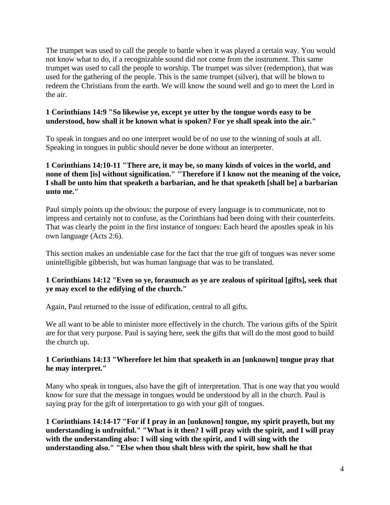The trumpet was used to call the people to battle when it was played a certain way. You would not know what to do, if a recognizable sound did not come from the instrument. This same trumpet was used to call the people to worship. The trumpet was silver (redemption), that was used for the gathering of the people. This is the same trumpet (silver), that will be blown to redeem the Christians from the earth. We will know the sound well and go to meet the Lord in the air.

#### **1 Corinthians 14:9 "So likewise ye, except ye utter by the tongue words easy to be understood, how shall it be known what is spoken? For ye shall speak into the air."**

To speak in tongues and no one interpret would be of no use to the winning of souls at all. Speaking in tongues in public should never be done without an interpreter.

#### **1 Corinthians 14:10-11 "There are, it may be, so many kinds of voices in the world, and none of them [is] without signification." "Therefore if I know not the meaning of the voice, I shall be unto him that speaketh a barbarian, and he that speaketh [shall be] a barbarian unto me."**

Paul simply points up the obvious: the purpose of every language is to communicate, not to impress and certainly not to confuse, as the Corinthians had been doing with their counterfeits. That was clearly the point in the first instance of tongues: Each heard the apostles speak in his own language (Acts 2:6).

This section makes an undeniable case for the fact that the true gift of tongues was never some unintelligible gibberish, but was human language that was to be translated.

#### **1 Corinthians 14:12 "Even so ye, forasmuch as ye are zealous of spiritual [gifts], seek that ye may excel to the edifying of the church."**

Again, Paul returned to the issue of edification, central to all gifts.

We all want to be able to minister more effectively in the church. The various gifts of the Spirit are for that very purpose. Paul is saying here, seek the gifts that will do the most good to build the church up.

## **1 Corinthians 14:13 "Wherefore let him that speaketh in an [unknown] tongue pray that he may interpret."**

Many who speak in tongues, also have the gift of interpretation. That is one way that you would know for sure that the message in tongues would be understood by all in the church. Paul is saying pray for the gift of interpretation to go with your gift of tongues.

**1 Corinthians 14:14-17 "For if I pray in an [unknown] tongue, my spirit prayeth, but my understanding is unfruitful." "What is it then? I will pray with the spirit, and I will pray with the understanding also: I will sing with the spirit, and I will sing with the understanding also." "Else when thou shalt bless with the spirit, how shall he that**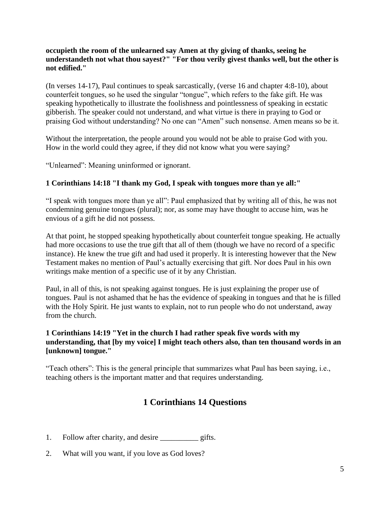#### **occupieth the room of the unlearned say Amen at thy giving of thanks, seeing he understandeth not what thou sayest?" "For thou verily givest thanks well, but the other is not edified."**

(In verses 14-17), Paul continues to speak sarcastically, (verse 16 and chapter 4:8-10), about counterfeit tongues, so he used the singular "tongue", which refers to the fake gift. He was speaking hypothetically to illustrate the foolishness and pointlessness of speaking in ecstatic gibberish. The speaker could not understand, and what virtue is there in praying to God or praising God without understanding? No one can "Amen" such nonsense. Amen means so be it.

Without the interpretation, the people around you would not be able to praise God with you. How in the world could they agree, if they did not know what you were saying?

"Unlearned": Meaning uninformed or ignorant.

#### **1 Corinthians 14:18 "I thank my God, I speak with tongues more than ye all:"**

"I speak with tongues more than ye all": Paul emphasized that by writing all of this, he was not condemning genuine tongues (plural); nor, as some may have thought to accuse him, was he envious of a gift he did not possess.

At that point, he stopped speaking hypothetically about counterfeit tongue speaking. He actually had more occasions to use the true gift that all of them (though we have no record of a specific instance). He knew the true gift and had used it properly. It is interesting however that the New Testament makes no mention of Paul's actually exercising that gift. Nor does Paul in his own writings make mention of a specific use of it by any Christian.

Paul, in all of this, is not speaking against tongues. He is just explaining the proper use of tongues. Paul is not ashamed that he has the evidence of speaking in tongues and that he is filled with the Holy Spirit. He just wants to explain, not to run people who do not understand, away from the church.

## **1 Corinthians 14:19 "Yet in the church I had rather speak five words with my understanding, that [by my voice] I might teach others also, than ten thousand words in an [unknown] tongue."**

"Teach others": This is the general principle that summarizes what Paul has been saying, i.e., teaching others is the important matter and that requires understanding.

## **1 Corinthians 14 Questions**

- 1. Follow after charity, and desire <u>gifts</u>.
- 2. What will you want, if you love as God loves?